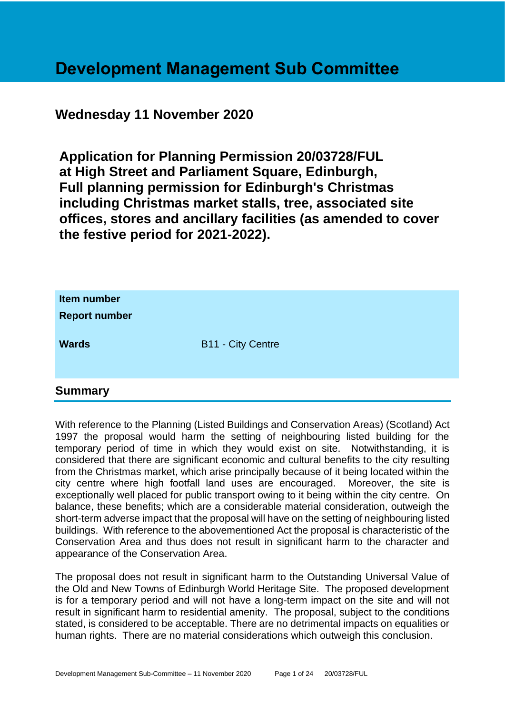# **Development Management Sub Committee**

# **Wednesday 11 November 2020**

**Application for Planning Permission 20/03728/FUL at High Street and Parliament Square, Edinburgh, Full planning permission for Edinburgh's Christmas including Christmas market stalls, tree, associated site offices, stores and ancillary facilities (as amended to cover the festive period for 2021-2022).**

| Item number<br><b>Report number</b> |                          |
|-------------------------------------|--------------------------|
| <b>Wards</b>                        | <b>B11 - City Centre</b> |

# **Summary**

With reference to the Planning (Listed Buildings and Conservation Areas) (Scotland) Act 1997 the proposal would harm the setting of neighbouring listed building for the temporary period of time in which they would exist on site. Notwithstanding, it is considered that there are significant economic and cultural benefits to the city resulting from the Christmas market, which arise principally because of it being located within the city centre where high footfall land uses are encouraged. Moreover, the site is exceptionally well placed for public transport owing to it being within the city centre. On balance, these benefits; which are a considerable material consideration, outweigh the short-term adverse impact that the proposal will have on the setting of neighbouring listed buildings. With reference to the abovementioned Act the proposal is characteristic of the Conservation Area and thus does not result in significant harm to the character and appearance of the Conservation Area.

The proposal does not result in significant harm to the Outstanding Universal Value of the Old and New Towns of Edinburgh World Heritage Site. The proposed development is for a temporary period and will not have a long-term impact on the site and will not result in significant harm to residential amenity. The proposal, subject to the conditions stated, is considered to be acceptable. There are no detrimental impacts on equalities or human rights. There are no material considerations which outweigh this conclusion.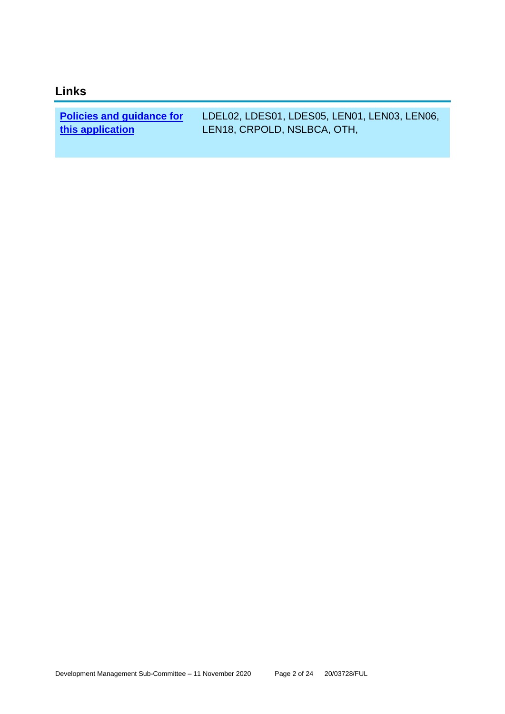# **Links**

**[Policies and guidance for](file:///C:/uniform/temp/uf04148.rtf%23Policies)  [this application](file:///C:/uniform/temp/uf04148.rtf%23Policies)**

LDEL02, LDES01, LDES05, LEN01, LEN03, LEN06, LEN18, CRPOLD, NSLBCA, OTH,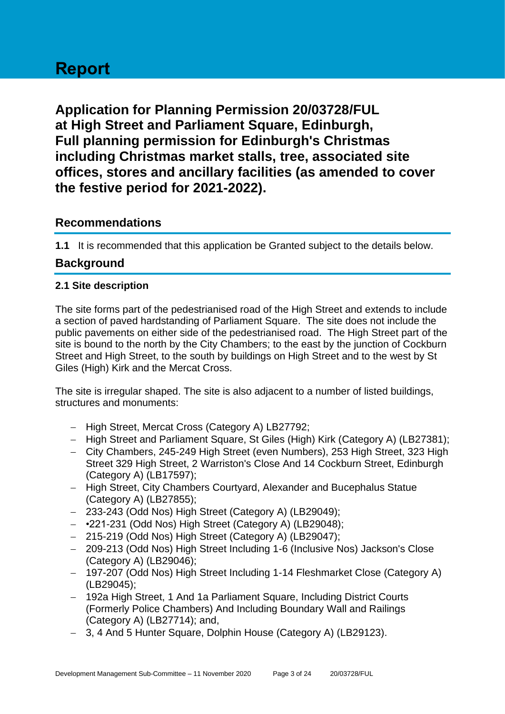# **Report**

**Application for Planning Permission 20/03728/FUL at High Street and Parliament Square, Edinburgh, Full planning permission for Edinburgh's Christmas including Christmas market stalls, tree, associated site offices, stores and ancillary facilities (as amended to cover the festive period for 2021-2022).**

# **Recommendations**

**1.1** It is recommended that this application be Granted subject to the details below.

# **Background**

#### **2.1 Site description**

The site forms part of the pedestrianised road of the High Street and extends to include a section of paved hardstanding of Parliament Square. The site does not include the public pavements on either side of the pedestrianised road. The High Street part of the site is bound to the north by the City Chambers; to the east by the junction of Cockburn Street and High Street, to the south by buildings on High Street and to the west by St Giles (High) Kirk and the Mercat Cross.

The site is irregular shaped. The site is also adjacent to a number of listed buildings, structures and monuments:

- − High Street, Mercat Cross (Category A) LB27792;
- − High Street and Parliament Square, St Giles (High) Kirk (Category A) (LB27381);
- − City Chambers, 245-249 High Street (even Numbers), 253 High Street, 323 High Street 329 High Street, 2 Warriston's Close And 14 Cockburn Street, Edinburgh (Category A) (LB17597);
- − High Street, City Chambers Courtyard, Alexander and Bucephalus Statue (Category A) (LB27855);
- − 233-243 (Odd Nos) High Street (Category A) (LB29049);
- − •221-231 (Odd Nos) High Street (Category A) (LB29048);
- − 215-219 (Odd Nos) High Street (Category A) (LB29047);
- − 209-213 (Odd Nos) High Street Including 1-6 (Inclusive Nos) Jackson's Close (Category A) (LB29046);
- − 197-207 (Odd Nos) High Street Including 1-14 Fleshmarket Close (Category A) (LB29045);
- − 192a High Street, 1 And 1a Parliament Square, Including District Courts (Formerly Police Chambers) And Including Boundary Wall and Railings (Category A) (LB27714); and,
- − 3, 4 And 5 Hunter Square, Dolphin House (Category A) (LB29123).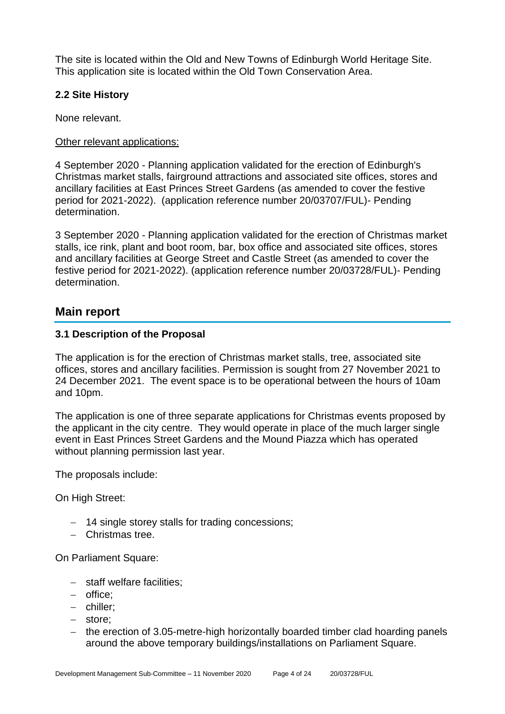The site is located within the Old and New Towns of Edinburgh World Heritage Site. This application site is located within the Old Town Conservation Area.

#### **2.2 Site History**

None relevant.

#### Other relevant applications:

4 September 2020 - Planning application validated for the erection of Edinburgh's Christmas market stalls, fairground attractions and associated site offices, stores and ancillary facilities at East Princes Street Gardens (as amended to cover the festive period for 2021-2022). (application reference number 20/03707/FUL)- Pending determination.

3 September 2020 - Planning application validated for the erection of Christmas market stalls, ice rink, plant and boot room, bar, box office and associated site offices, stores and ancillary facilities at George Street and Castle Street (as amended to cover the festive period for 2021-2022). (application reference number 20/03728/FUL)- Pending determination.

# **Main report**

#### **3.1 Description of the Proposal**

The application is for the erection of Christmas market stalls, tree, associated site offices, stores and ancillary facilities. Permission is sought from 27 November 2021 to 24 December 2021. The event space is to be operational between the hours of 10am and 10pm.

The application is one of three separate applications for Christmas events proposed by the applicant in the city centre. They would operate in place of the much larger single event in East Princes Street Gardens and the Mound Piazza which has operated without planning permission last year.

The proposals include:

On High Street:

- − 14 single storey stalls for trading concessions;
- − Christmas tree.

On Parliament Square:

- − staff welfare facilities;
- − office;
- − chiller;
- − store;
- − the erection of 3.05-metre-high horizontally boarded timber clad hoarding panels around the above temporary buildings/installations on Parliament Square.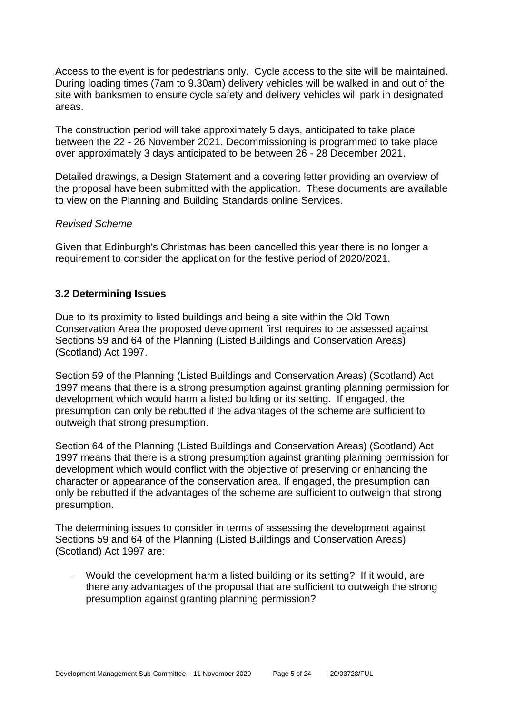Access to the event is for pedestrians only. Cycle access to the site will be maintained. During loading times (7am to 9.30am) delivery vehicles will be walked in and out of the site with banksmen to ensure cycle safety and delivery vehicles will park in designated areas.

The construction period will take approximately 5 days, anticipated to take place between the 22 - 26 November 2021. Decommissioning is programmed to take place over approximately 3 days anticipated to be between 26 - 28 December 2021.

Detailed drawings, a Design Statement and a covering letter providing an overview of the proposal have been submitted with the application. These documents are available to view on the Planning and Building Standards online Services.

#### *Revised Scheme*

Given that Edinburgh's Christmas has been cancelled this year there is no longer a requirement to consider the application for the festive period of 2020/2021.

#### **3.2 Determining Issues**

Due to its proximity to listed buildings and being a site within the Old Town Conservation Area the proposed development first requires to be assessed against Sections 59 and 64 of the Planning (Listed Buildings and Conservation Areas) (Scotland) Act 1997.

Section 59 of the Planning (Listed Buildings and Conservation Areas) (Scotland) Act 1997 means that there is a strong presumption against granting planning permission for development which would harm a listed building or its setting. If engaged, the presumption can only be rebutted if the advantages of the scheme are sufficient to outweigh that strong presumption.

Section 64 of the Planning (Listed Buildings and Conservation Areas) (Scotland) Act 1997 means that there is a strong presumption against granting planning permission for development which would conflict with the objective of preserving or enhancing the character or appearance of the conservation area. If engaged, the presumption can only be rebutted if the advantages of the scheme are sufficient to outweigh that strong presumption.

The determining issues to consider in terms of assessing the development against Sections 59 and 64 of the Planning (Listed Buildings and Conservation Areas) (Scotland) Act 1997 are:

− Would the development harm a listed building or its setting? If it would, are there any advantages of the proposal that are sufficient to outweigh the strong presumption against granting planning permission?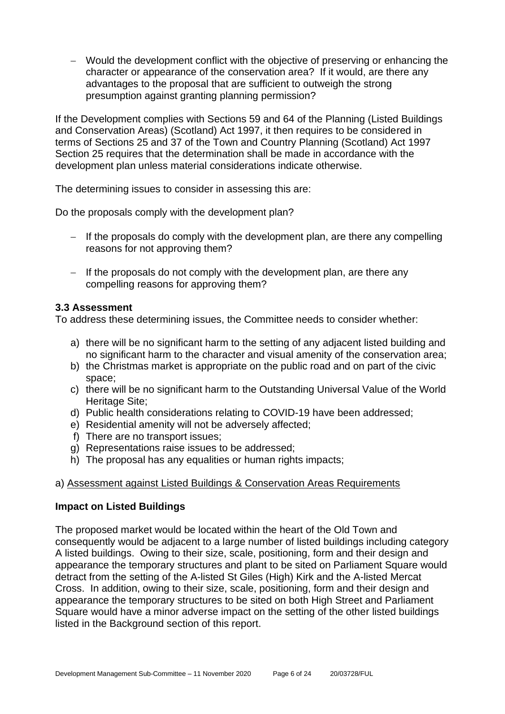− Would the development conflict with the objective of preserving or enhancing the character or appearance of the conservation area? If it would, are there any advantages to the proposal that are sufficient to outweigh the strong presumption against granting planning permission?

If the Development complies with Sections 59 and 64 of the Planning (Listed Buildings and Conservation Areas) (Scotland) Act 1997, it then requires to be considered in terms of Sections 25 and 37 of the Town and Country Planning (Scotland) Act 1997 Section 25 requires that the determination shall be made in accordance with the development plan unless material considerations indicate otherwise.

The determining issues to consider in assessing this are:

Do the proposals comply with the development plan?

- − If the proposals do comply with the development plan, are there any compelling reasons for not approving them?
- − If the proposals do not comply with the development plan, are there any compelling reasons for approving them?

#### **3.3 Assessment**

To address these determining issues, the Committee needs to consider whether:

- a) there will be no significant harm to the setting of any adjacent listed building and no significant harm to the character and visual amenity of the conservation area;
- b) the Christmas market is appropriate on the public road and on part of the civic space;
- c) there will be no significant harm to the Outstanding Universal Value of the World Heritage Site;
- d) Public health considerations relating to COVID-19 have been addressed;
- e) Residential amenity will not be adversely affected;
- f) There are no transport issues;
- g) Representations raise issues to be addressed;
- h) The proposal has any equalities or human rights impacts;

# a) Assessment against Listed Buildings & Conservation Areas Requirements

#### **Impact on Listed Buildings**

The proposed market would be located within the heart of the Old Town and consequently would be adjacent to a large number of listed buildings including category A listed buildings. Owing to their size, scale, positioning, form and their design and appearance the temporary structures and plant to be sited on Parliament Square would detract from the setting of the A-listed St Giles (High) Kirk and the A-listed Mercat Cross. In addition, owing to their size, scale, positioning, form and their design and appearance the temporary structures to be sited on both High Street and Parliament Square would have a minor adverse impact on the setting of the other listed buildings listed in the Background section of this report.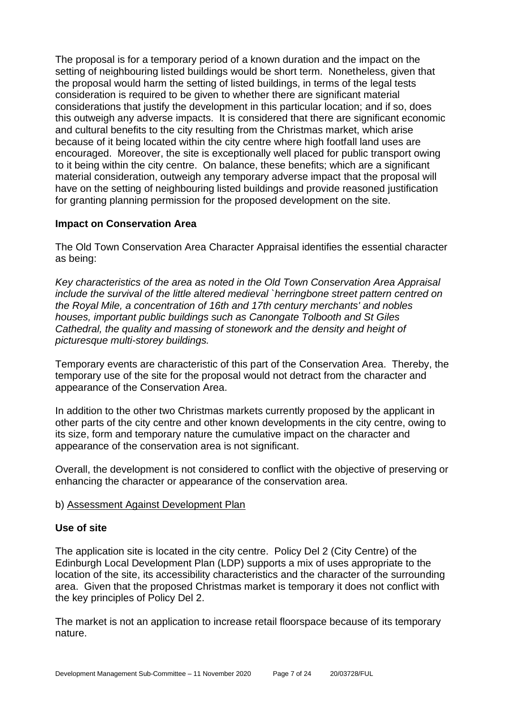The proposal is for a temporary period of a known duration and the impact on the setting of neighbouring listed buildings would be short term. Nonetheless, given that the proposal would harm the setting of listed buildings, in terms of the legal tests consideration is required to be given to whether there are significant material considerations that justify the development in this particular location; and if so, does this outweigh any adverse impacts. It is considered that there are significant economic and cultural benefits to the city resulting from the Christmas market, which arise because of it being located within the city centre where high footfall land uses are encouraged. Moreover, the site is exceptionally well placed for public transport owing to it being within the city centre. On balance, these benefits; which are a significant material consideration, outweigh any temporary adverse impact that the proposal will have on the setting of neighbouring listed buildings and provide reasoned justification for granting planning permission for the proposed development on the site.

#### **Impact on Conservation Area**

The Old Town Conservation Area Character Appraisal identifies the essential character as being:

*Key characteristics of the area as noted in the Old Town Conservation Area Appraisal include the survival of the little altered medieval `herringbone street pattern centred on the Royal Mile, a concentration of 16th and 17th century merchants' and nobles houses, important public buildings such as Canongate Tolbooth and St Giles Cathedral, the quality and massing of stonework and the density and height of picturesque multi-storey buildings.*

Temporary events are characteristic of this part of the Conservation Area. Thereby, the temporary use of the site for the proposal would not detract from the character and appearance of the Conservation Area.

In addition to the other two Christmas markets currently proposed by the applicant in other parts of the city centre and other known developments in the city centre, owing to its size, form and temporary nature the cumulative impact on the character and appearance of the conservation area is not significant.

Overall, the development is not considered to conflict with the objective of preserving or enhancing the character or appearance of the conservation area.

#### b) Assessment Against Development Plan

#### **Use of site**

The application site is located in the city centre. Policy Del 2 (City Centre) of the Edinburgh Local Development Plan (LDP) supports a mix of uses appropriate to the location of the site, its accessibility characteristics and the character of the surrounding area. Given that the proposed Christmas market is temporary it does not conflict with the key principles of Policy Del 2.

The market is not an application to increase retail floorspace because of its temporary nature.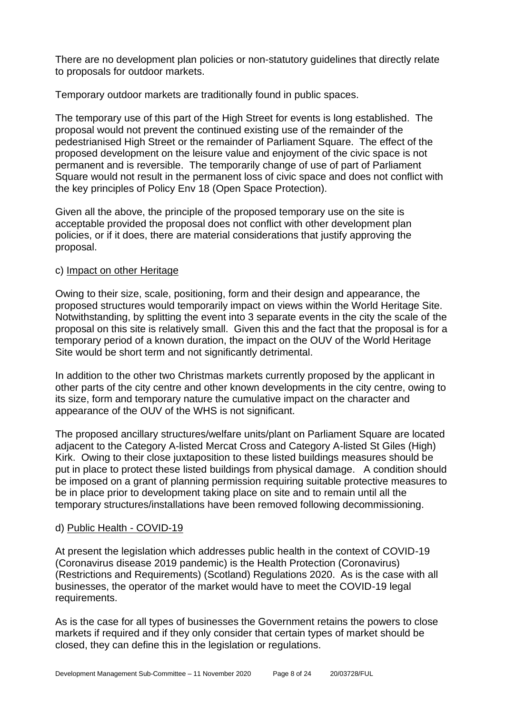There are no development plan policies or non-statutory guidelines that directly relate to proposals for outdoor markets.

Temporary outdoor markets are traditionally found in public spaces.

The temporary use of this part of the High Street for events is long established. The proposal would not prevent the continued existing use of the remainder of the pedestrianised High Street or the remainder of Parliament Square. The effect of the proposed development on the leisure value and enjoyment of the civic space is not permanent and is reversible. The temporarily change of use of part of Parliament Square would not result in the permanent loss of civic space and does not conflict with the key principles of Policy Env 18 (Open Space Protection).

Given all the above, the principle of the proposed temporary use on the site is acceptable provided the proposal does not conflict with other development plan policies, or if it does, there are material considerations that justify approving the proposal.

#### c) Impact on other Heritage

Owing to their size, scale, positioning, form and their design and appearance, the proposed structures would temporarily impact on views within the World Heritage Site. Notwithstanding, by splitting the event into 3 separate events in the city the scale of the proposal on this site is relatively small. Given this and the fact that the proposal is for a temporary period of a known duration, the impact on the OUV of the World Heritage Site would be short term and not significantly detrimental.

In addition to the other two Christmas markets currently proposed by the applicant in other parts of the city centre and other known developments in the city centre, owing to its size, form and temporary nature the cumulative impact on the character and appearance of the OUV of the WHS is not significant.

The proposed ancillary structures/welfare units/plant on Parliament Square are located adjacent to the Category A-listed Mercat Cross and Category A-listed St Giles (High) Kirk. Owing to their close juxtaposition to these listed buildings measures should be put in place to protect these listed buildings from physical damage. A condition should be imposed on a grant of planning permission requiring suitable protective measures to be in place prior to development taking place on site and to remain until all the temporary structures/installations have been removed following decommissioning.

# d) Public Health - COVID-19

At present the legislation which addresses public health in the context of COVID-19 (Coronavirus disease 2019 pandemic) is the Health Protection (Coronavirus) (Restrictions and Requirements) (Scotland) Regulations 2020. As is the case with all businesses, the operator of the market would have to meet the COVID-19 legal requirements.

As is the case for all types of businesses the Government retains the powers to close markets if required and if they only consider that certain types of market should be closed, they can define this in the legislation or regulations.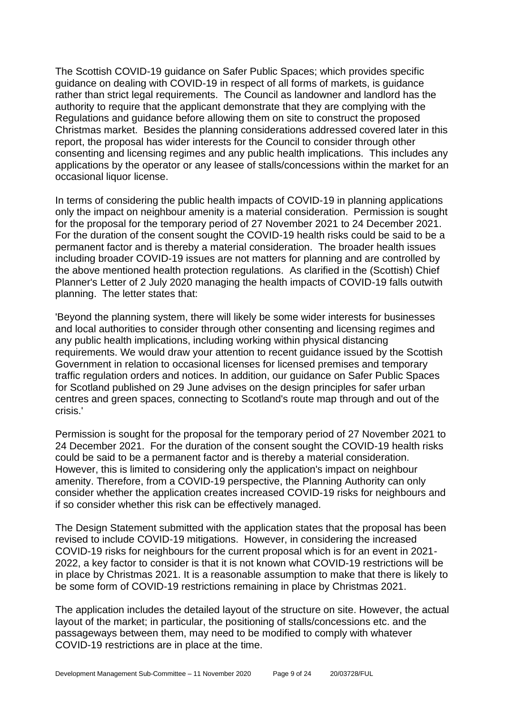The Scottish COVID-19 guidance on Safer Public Spaces; which provides specific guidance on dealing with COVID-19 in respect of all forms of markets, is guidance rather than strict legal requirements. The Council as landowner and landlord has the authority to require that the applicant demonstrate that they are complying with the Regulations and guidance before allowing them on site to construct the proposed Christmas market. Besides the planning considerations addressed covered later in this report, the proposal has wider interests for the Council to consider through other consenting and licensing regimes and any public health implications. This includes any applications by the operator or any leasee of stalls/concessions within the market for an occasional liquor license.

In terms of considering the public health impacts of COVID-19 in planning applications only the impact on neighbour amenity is a material consideration. Permission is sought for the proposal for the temporary period of 27 November 2021 to 24 December 2021. For the duration of the consent sought the COVID-19 health risks could be said to be a permanent factor and is thereby a material consideration. The broader health issues including broader COVID-19 issues are not matters for planning and are controlled by the above mentioned health protection regulations. As clarified in the (Scottish) Chief Planner's Letter of 2 July 2020 managing the health impacts of COVID-19 falls outwith planning. The letter states that:

'Beyond the planning system, there will likely be some wider interests for businesses and local authorities to consider through other consenting and licensing regimes and any public health implications, including working within physical distancing requirements. We would draw your attention to recent guidance issued by the Scottish Government in relation to occasional licenses for licensed premises and temporary traffic regulation orders and notices. In addition, our guidance on Safer Public Spaces for Scotland published on 29 June advises on the design principles for safer urban centres and green spaces, connecting to Scotland's route map through and out of the crisis.'

Permission is sought for the proposal for the temporary period of 27 November 2021 to 24 December 2021. For the duration of the consent sought the COVID-19 health risks could be said to be a permanent factor and is thereby a material consideration. However, this is limited to considering only the application's impact on neighbour amenity. Therefore, from a COVID-19 perspective, the Planning Authority can only consider whether the application creates increased COVID-19 risks for neighbours and if so consider whether this risk can be effectively managed.

The Design Statement submitted with the application states that the proposal has been revised to include COVID-19 mitigations. However, in considering the increased COVID-19 risks for neighbours for the current proposal which is for an event in 2021- 2022, a key factor to consider is that it is not known what COVID-19 restrictions will be in place by Christmas 2021. It is a reasonable assumption to make that there is likely to be some form of COVID-19 restrictions remaining in place by Christmas 2021.

The application includes the detailed layout of the structure on site. However, the actual layout of the market; in particular, the positioning of stalls/concessions etc. and the passageways between them, may need to be modified to comply with whatever COVID-19 restrictions are in place at the time.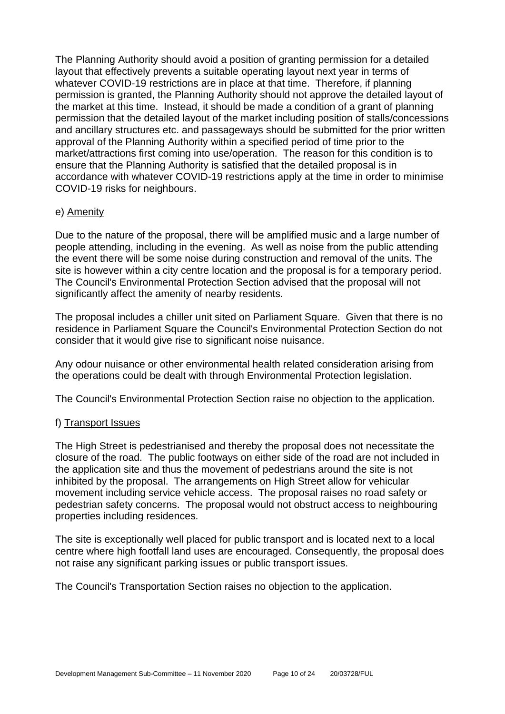The Planning Authority should avoid a position of granting permission for a detailed layout that effectively prevents a suitable operating layout next year in terms of whatever COVID-19 restrictions are in place at that time. Therefore, if planning permission is granted, the Planning Authority should not approve the detailed layout of the market at this time. Instead, it should be made a condition of a grant of planning permission that the detailed layout of the market including position of stalls/concessions and ancillary structures etc. and passageways should be submitted for the prior written approval of the Planning Authority within a specified period of time prior to the market/attractions first coming into use/operation. The reason for this condition is to ensure that the Planning Authority is satisfied that the detailed proposal is in accordance with whatever COVID-19 restrictions apply at the time in order to minimise COVID-19 risks for neighbours.

#### e) Amenity

Due to the nature of the proposal, there will be amplified music and a large number of people attending, including in the evening. As well as noise from the public attending the event there will be some noise during construction and removal of the units. The site is however within a city centre location and the proposal is for a temporary period. The Council's Environmental Protection Section advised that the proposal will not significantly affect the amenity of nearby residents.

The proposal includes a chiller unit sited on Parliament Square. Given that there is no residence in Parliament Square the Council's Environmental Protection Section do not consider that it would give rise to significant noise nuisance.

Any odour nuisance or other environmental health related consideration arising from the operations could be dealt with through Environmental Protection legislation.

The Council's Environmental Protection Section raise no objection to the application.

# f) Transport Issues

The High Street is pedestrianised and thereby the proposal does not necessitate the closure of the road. The public footways on either side of the road are not included in the application site and thus the movement of pedestrians around the site is not inhibited by the proposal. The arrangements on High Street allow for vehicular movement including service vehicle access. The proposal raises no road safety or pedestrian safety concerns. The proposal would not obstruct access to neighbouring properties including residences.

The site is exceptionally well placed for public transport and is located next to a local centre where high footfall land uses are encouraged. Consequently, the proposal does not raise any significant parking issues or public transport issues.

The Council's Transportation Section raises no objection to the application.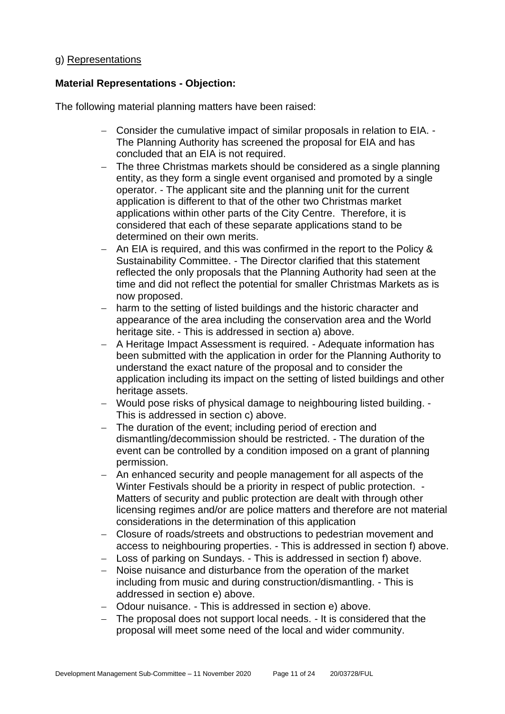#### g) Representations

#### **Material Representations - Objection:**

The following material planning matters have been raised:

- − Consider the cumulative impact of similar proposals in relation to EIA. The Planning Authority has screened the proposal for EIA and has concluded that an EIA is not required.
- − The three Christmas markets should be considered as a single planning entity, as they form a single event organised and promoted by a single operator. - The applicant site and the planning unit for the current application is different to that of the other two Christmas market applications within other parts of the City Centre. Therefore, it is considered that each of these separate applications stand to be determined on their own merits.
- − An EIA is required, and this was confirmed in the report to the Policy & Sustainability Committee. - The Director clarified that this statement reflected the only proposals that the Planning Authority had seen at the time and did not reflect the potential for smaller Christmas Markets as is now proposed.
- − harm to the setting of listed buildings and the historic character and appearance of the area including the conservation area and the World heritage site. - This is addressed in section a) above.
- − A Heritage Impact Assessment is required. Adequate information has been submitted with the application in order for the Planning Authority to understand the exact nature of the proposal and to consider the application including its impact on the setting of listed buildings and other heritage assets.
- − Would pose risks of physical damage to neighbouring listed building. This is addressed in section c) above.
- − The duration of the event; including period of erection and dismantling/decommission should be restricted. - The duration of the event can be controlled by a condition imposed on a grant of planning permission.
- An enhanced security and people management for all aspects of the Winter Festivals should be a priority in respect of public protection. -Matters of security and public protection are dealt with through other licensing regimes and/or are police matters and therefore are not material considerations in the determination of this application
- − Closure of roads/streets and obstructions to pedestrian movement and access to neighbouring properties. - This is addressed in section f) above.
- − Loss of parking on Sundays. This is addressed in section f) above.
- − Noise nuisance and disturbance from the operation of the market including from music and during construction/dismantling. - This is addressed in section e) above.
- − Odour nuisance. This is addressed in section e) above.
- − The proposal does not support local needs. It is considered that the proposal will meet some need of the local and wider community.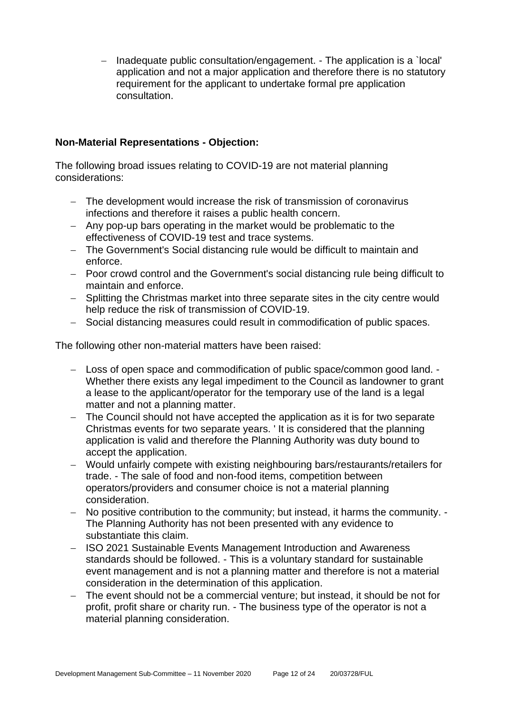− Inadequate public consultation/engagement. - The application is a `local' application and not a major application and therefore there is no statutory requirement for the applicant to undertake formal pre application consultation.

#### **Non-Material Representations - Objection:**

The following broad issues relating to COVID-19 are not material planning considerations:

- − The development would increase the risk of transmission of coronavirus infections and therefore it raises a public health concern.
- − Any pop-up bars operating in the market would be problematic to the effectiveness of COVID-19 test and trace systems.
- − The Government's Social distancing rule would be difficult to maintain and enforce.
- − Poor crowd control and the Government's social distancing rule being difficult to maintain and enforce.
- − Splitting the Christmas market into three separate sites in the city centre would help reduce the risk of transmission of COVID-19.
- − Social distancing measures could result in commodification of public spaces.

The following other non-material matters have been raised:

- − Loss of open space and commodification of public space/common good land. Whether there exists any legal impediment to the Council as landowner to grant a lease to the applicant/operator for the temporary use of the land is a legal matter and not a planning matter.
- − The Council should not have accepted the application as it is for two separate Christmas events for two separate years. ' It is considered that the planning application is valid and therefore the Planning Authority was duty bound to accept the application.
- − Would unfairly compete with existing neighbouring bars/restaurants/retailers for trade. - The sale of food and non-food items, competition between operators/providers and consumer choice is not a material planning consideration.
- − No positive contribution to the community; but instead, it harms the community. The Planning Authority has not been presented with any evidence to substantiate this claim.
- − ISO 2021 Sustainable Events Management Introduction and Awareness standards should be followed. - This is a voluntary standard for sustainable event management and is not a planning matter and therefore is not a material consideration in the determination of this application.
- − The event should not be a commercial venture; but instead, it should be not for profit, profit share or charity run. - The business type of the operator is not a material planning consideration.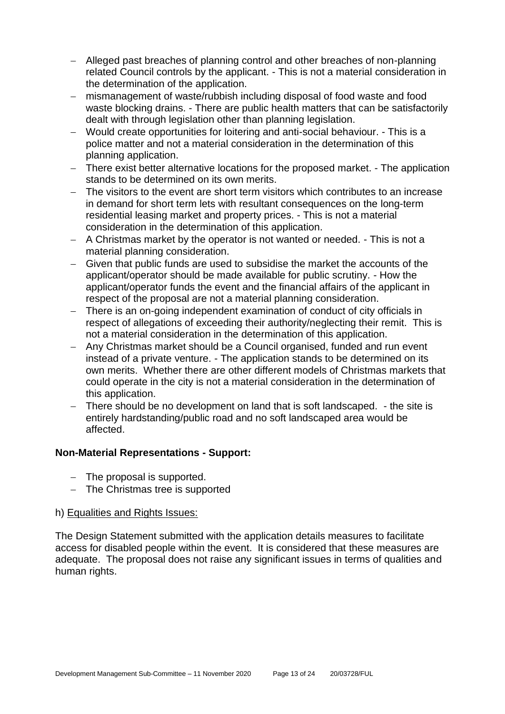- − Alleged past breaches of planning control and other breaches of non-planning related Council controls by the applicant. - This is not a material consideration in the determination of the application.
- − mismanagement of waste/rubbish including disposal of food waste and food waste blocking drains. - There are public health matters that can be satisfactorily dealt with through legislation other than planning legislation.
- − Would create opportunities for loitering and anti-social behaviour. This is a police matter and not a material consideration in the determination of this planning application.
- − There exist better alternative locations for the proposed market. The application stands to be determined on its own merits.
- − The visitors to the event are short term visitors which contributes to an increase in demand for short term lets with resultant consequences on the long-term residential leasing market and property prices. - This is not a material consideration in the determination of this application.
- − A Christmas market by the operator is not wanted or needed. This is not a material planning consideration.
- − Given that public funds are used to subsidise the market the accounts of the applicant/operator should be made available for public scrutiny. - How the applicant/operator funds the event and the financial affairs of the applicant in respect of the proposal are not a material planning consideration.
- − There is an on-going independent examination of conduct of city officials in respect of allegations of exceeding their authority/neglecting their remit. This is not a material consideration in the determination of this application.
- − Any Christmas market should be a Council organised, funded and run event instead of a private venture. - The application stands to be determined on its own merits. Whether there are other different models of Christmas markets that could operate in the city is not a material consideration in the determination of this application.
- − There should be no development on land that is soft landscaped. the site is entirely hardstanding/public road and no soft landscaped area would be affected.

# **Non-Material Representations - Support:**

- − The proposal is supported.
- − The Christmas tree is supported

#### h) Equalities and Rights Issues:

The Design Statement submitted with the application details measures to facilitate access for disabled people within the event. It is considered that these measures are adequate. The proposal does not raise any significant issues in terms of qualities and human rights.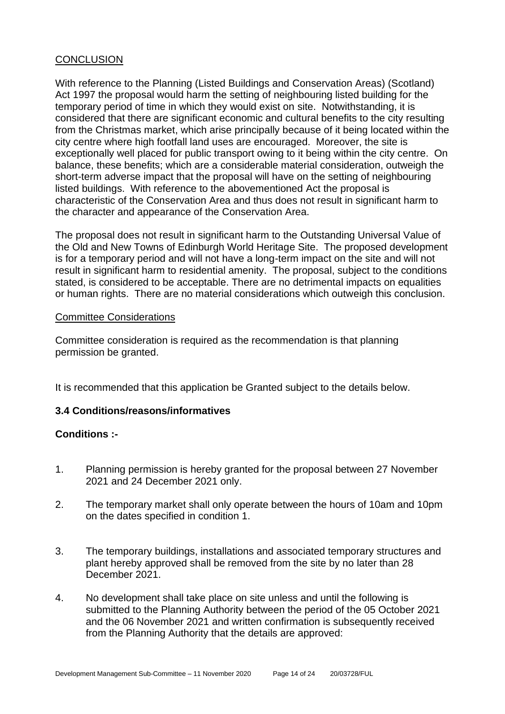#### **CONCLUSION**

With reference to the Planning (Listed Buildings and Conservation Areas) (Scotland) Act 1997 the proposal would harm the setting of neighbouring listed building for the temporary period of time in which they would exist on site. Notwithstanding, it is considered that there are significant economic and cultural benefits to the city resulting from the Christmas market, which arise principally because of it being located within the city centre where high footfall land uses are encouraged. Moreover, the site is exceptionally well placed for public transport owing to it being within the city centre. On balance, these benefits; which are a considerable material consideration, outweigh the short-term adverse impact that the proposal will have on the setting of neighbouring listed buildings. With reference to the abovementioned Act the proposal is characteristic of the Conservation Area and thus does not result in significant harm to the character and appearance of the Conservation Area.

The proposal does not result in significant harm to the Outstanding Universal Value of the Old and New Towns of Edinburgh World Heritage Site. The proposed development is for a temporary period and will not have a long-term impact on the site and will not result in significant harm to residential amenity. The proposal, subject to the conditions stated, is considered to be acceptable. There are no detrimental impacts on equalities or human rights. There are no material considerations which outweigh this conclusion.

#### Committee Considerations

Committee consideration is required as the recommendation is that planning permission be granted.

It is recommended that this application be Granted subject to the details below.

#### **3.4 Conditions/reasons/informatives**

#### **Conditions :-**

- 1. Planning permission is hereby granted for the proposal between 27 November 2021 and 24 December 2021 only.
- 2. The temporary market shall only operate between the hours of 10am and 10pm on the dates specified in condition 1.
- 3. The temporary buildings, installations and associated temporary structures and plant hereby approved shall be removed from the site by no later than 28 December 2021.
- 4. No development shall take place on site unless and until the following is submitted to the Planning Authority between the period of the 05 October 2021 and the 06 November 2021 and written confirmation is subsequently received from the Planning Authority that the details are approved: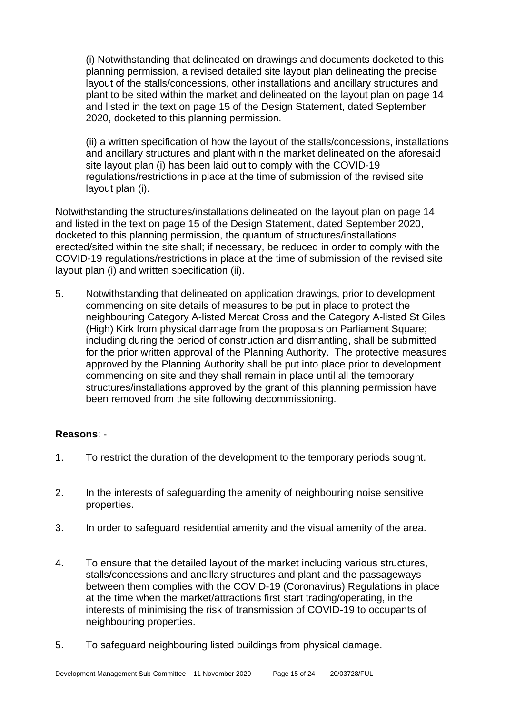(i) Notwithstanding that delineated on drawings and documents docketed to this planning permission, a revised detailed site layout plan delineating the precise layout of the stalls/concessions, other installations and ancillary structures and plant to be sited within the market and delineated on the layout plan on page 14 and listed in the text on page 15 of the Design Statement, dated September 2020, docketed to this planning permission.

(ii) a written specification of how the layout of the stalls/concessions, installations and ancillary structures and plant within the market delineated on the aforesaid site layout plan (i) has been laid out to comply with the COVID-19 regulations/restrictions in place at the time of submission of the revised site layout plan (i).

Notwithstanding the structures/installations delineated on the layout plan on page 14 and listed in the text on page 15 of the Design Statement, dated September 2020, docketed to this planning permission, the quantum of structures/installations erected/sited within the site shall; if necessary, be reduced in order to comply with the COVID-19 regulations/restrictions in place at the time of submission of the revised site layout plan (i) and written specification (ii).

5. Notwithstanding that delineated on application drawings, prior to development commencing on site details of measures to be put in place to protect the neighbouring Category A-listed Mercat Cross and the Category A-listed St Giles (High) Kirk from physical damage from the proposals on Parliament Square; including during the period of construction and dismantling, shall be submitted for the prior written approval of the Planning Authority. The protective measures approved by the Planning Authority shall be put into place prior to development commencing on site and they shall remain in place until all the temporary structures/installations approved by the grant of this planning permission have been removed from the site following decommissioning.

#### **Reasons**: -

- 1. To restrict the duration of the development to the temporary periods sought.
- 2. In the interests of safeguarding the amenity of neighbouring noise sensitive properties.
- 3. In order to safeguard residential amenity and the visual amenity of the area.
- 4. To ensure that the detailed layout of the market including various structures, stalls/concessions and ancillary structures and plant and the passageways between them complies with the COVID-19 (Coronavirus) Regulations in place at the time when the market/attractions first start trading/operating, in the interests of minimising the risk of transmission of COVID-19 to occupants of neighbouring properties.
- 5. To safeguard neighbouring listed buildings from physical damage.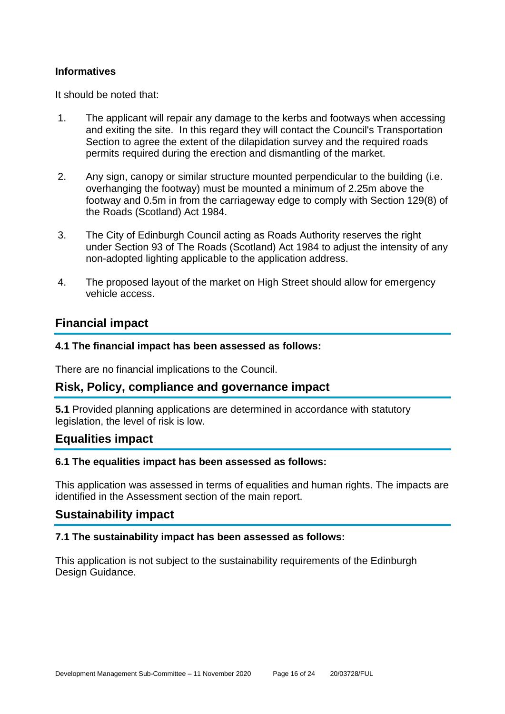#### **Informatives**

It should be noted that:

- 1. The applicant will repair any damage to the kerbs and footways when accessing and exiting the site. In this regard they will contact the Council's Transportation Section to agree the extent of the dilapidation survey and the required roads permits required during the erection and dismantling of the market.
- 2. Any sign, canopy or similar structure mounted perpendicular to the building (i.e. overhanging the footway) must be mounted a minimum of 2.25m above the footway and 0.5m in from the carriageway edge to comply with Section 129(8) of the Roads (Scotland) Act 1984.
- 3. The City of Edinburgh Council acting as Roads Authority reserves the right under Section 93 of The Roads (Scotland) Act 1984 to adjust the intensity of any non-adopted lighting applicable to the application address.
- 4. The proposed layout of the market on High Street should allow for emergency vehicle access.

# **Financial impact**

#### **4.1 The financial impact has been assessed as follows:**

There are no financial implications to the Council.

# **Risk, Policy, compliance and governance impact**

**5.1** Provided planning applications are determined in accordance with statutory legislation, the level of risk is low.

# **Equalities impact**

#### **6.1 The equalities impact has been assessed as follows:**

This application was assessed in terms of equalities and human rights. The impacts are identified in the Assessment section of the main report.

#### **Sustainability impact**

#### **7.1 The sustainability impact has been assessed as follows:**

This application is not subject to the sustainability requirements of the Edinburgh Design Guidance.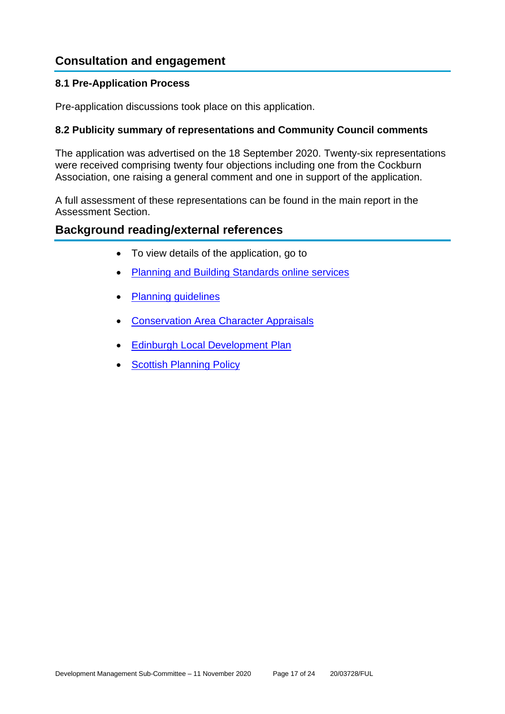# **Consultation and engagement**

#### **8.1 Pre-Application Process**

Pre-application discussions took place on this application.

#### **8.2 Publicity summary of representations and Community Council comments**

The application was advertised on the 18 September 2020. Twenty-six representations were received comprising twenty four objections including one from the Cockburn Association, one raising a general comment and one in support of the application.

A full assessment of these representations can be found in the main report in the Assessment Section.

# **Background reading/external references**

- To view details of the application, go to
- [Planning and Building Standards online services](https://citydev-portal.edinburgh.gov.uk/idoxpa-web/search.do?action=simple&searchType=Application)
- [Planning guidelines](http://www.edinburgh.gov.uk/planningguidelines)
- [Conservation Area Character Appraisals](http://www.edinburgh.gov.uk/characterappraisals)
- **[Edinburgh Local Development](http://www.edinburgh.gov.uk/localdevelopmentplan) Plan**
- **[Scottish Planning Policy](http://www.scotland.gov.uk/Topics/Built-Environment/planning/Policy)**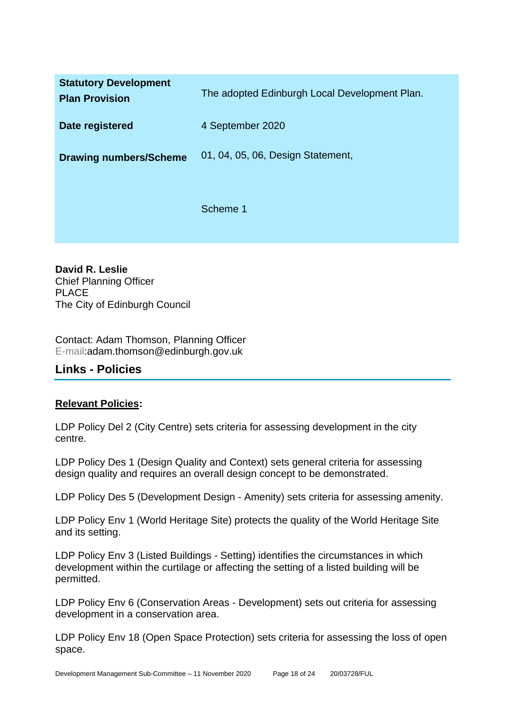| <b>Statutory Development</b><br><b>Plan Provision</b> | The adopted Edinburgh Local Development Plan. |
|-------------------------------------------------------|-----------------------------------------------|
| Date registered                                       | 4 September 2020                              |
| <b>Drawing numbers/Scheme</b>                         | 01, 04, 05, 06, Design Statement,             |
|                                                       | Scheme 1                                      |

**David R. Leslie** Chief Planning Officer PLACE The City of Edinburgh Council

Contact: Adam Thomson, Planning Officer E-mail:adam.thomson@edinburgh.gov.uk

# **Links - Policies**

# **Relevant Policies:**

LDP Policy Del 2 (City Centre) sets criteria for assessing development in the city centre.

LDP Policy Des 1 (Design Quality and Context) sets general criteria for assessing design quality and requires an overall design concept to be demonstrated.

LDP Policy Des 5 (Development Design - Amenity) sets criteria for assessing amenity.

LDP Policy Env 1 (World Heritage Site) protects the quality of the World Heritage Site and its setting.

LDP Policy Env 3 (Listed Buildings - Setting) identifies the circumstances in which development within the curtilage or affecting the setting of a listed building will be permitted.

LDP Policy Env 6 (Conservation Areas - Development) sets out criteria for assessing development in a conservation area.

LDP Policy Env 18 (Open Space Protection) sets criteria for assessing the loss of open space.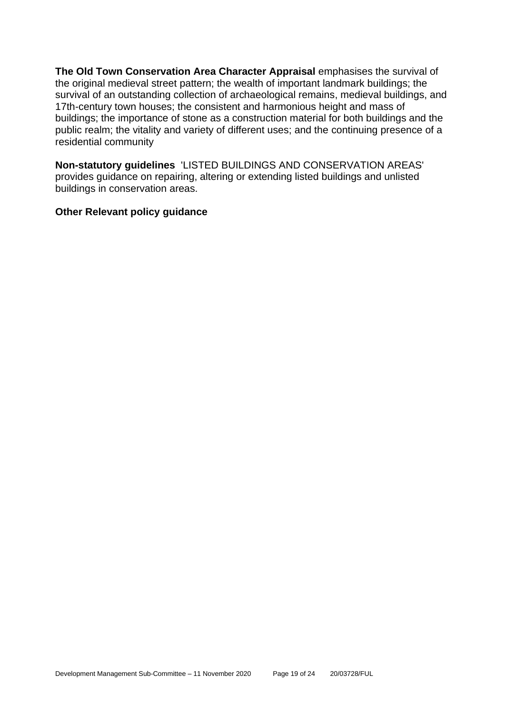**The Old Town Conservation Area Character Appraisal** emphasises the survival of the original medieval street pattern; the wealth of important landmark buildings; the survival of an outstanding collection of archaeological remains, medieval buildings, and 17th-century town houses; the consistent and harmonious height and mass of buildings; the importance of stone as a construction material for both buildings and the public realm; the vitality and variety of different uses; and the continuing presence of a residential community

**Non-statutory guidelines** 'LISTED BUILDINGS AND CONSERVATION AREAS' provides guidance on repairing, altering or extending listed buildings and unlisted buildings in conservation areas.

#### **Other Relevant policy guidance**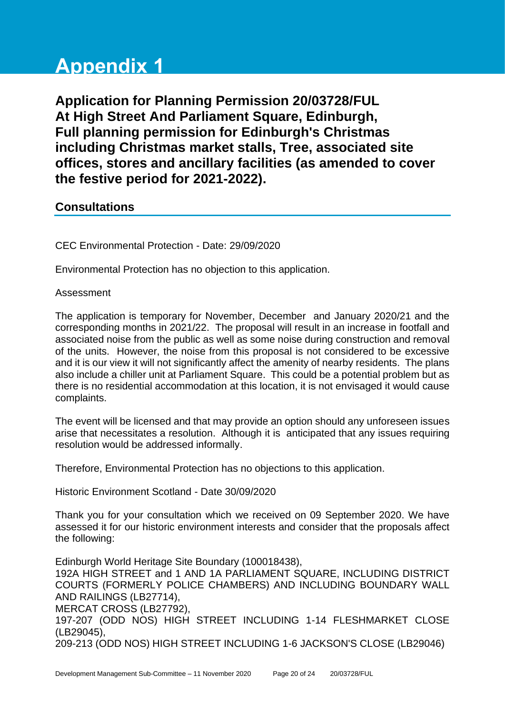# **Appendix 1**

**Application for Planning Permission 20/03728/FUL At High Street And Parliament Square, Edinburgh, Full planning permission for Edinburgh's Christmas including Christmas market stalls, Tree, associated site offices, stores and ancillary facilities (as amended to cover the festive period for 2021-2022).**

# **Consultations**

CEC Environmental Protection - Date: 29/09/2020

Environmental Protection has no objection to this application.

#### Assessment

The application is temporary for November, December and January 2020/21 and the corresponding months in 2021/22. The proposal will result in an increase in footfall and associated noise from the public as well as some noise during construction and removal of the units. However, the noise from this proposal is not considered to be excessive and it is our view it will not significantly affect the amenity of nearby residents. The plans also include a chiller unit at Parliament Square. This could be a potential problem but as there is no residential accommodation at this location, it is not envisaged it would cause complaints.

The event will be licensed and that may provide an option should any unforeseen issues arise that necessitates a resolution. Although it is anticipated that any issues requiring resolution would be addressed informally.

Therefore, Environmental Protection has no objections to this application.

Historic Environment Scotland - Date 30/09/2020

Thank you for your consultation which we received on 09 September 2020. We have assessed it for our historic environment interests and consider that the proposals affect the following:

Edinburgh World Heritage Site Boundary (100018438), 192A HIGH STREET and 1 AND 1A PARLIAMENT SQUARE, INCLUDING DISTRICT COURTS (FORMERLY POLICE CHAMBERS) AND INCLUDING BOUNDARY WALL AND RAILINGS (LB27714), MERCAT CROSS (LB27792), 197-207 (ODD NOS) HIGH STREET INCLUDING 1-14 FLESHMARKET CLOSE (LB29045), 209-213 (ODD NOS) HIGH STREET INCLUDING 1-6 JACKSON'S CLOSE (LB29046)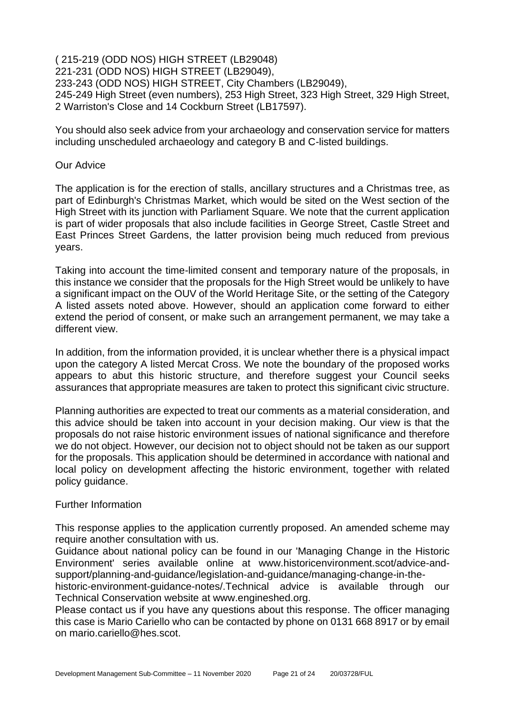#### ( 215-219 (ODD NOS) HIGH STREET (LB29048) 221-231 (ODD NOS) HIGH STREET (LB29049), 233-243 (ODD NOS) HIGH STREET, City Chambers (LB29049), 245-249 High Street (even numbers), 253 High Street, 323 High Street, 329 High Street, 2 Warriston's Close and 14 Cockburn Street (LB17597).

You should also seek advice from your archaeology and conservation service for matters including unscheduled archaeology and category B and C-listed buildings.

#### Our Advice

The application is for the erection of stalls, ancillary structures and a Christmas tree, as part of Edinburgh's Christmas Market, which would be sited on the West section of the High Street with its junction with Parliament Square. We note that the current application is part of wider proposals that also include facilities in George Street, Castle Street and East Princes Street Gardens, the latter provision being much reduced from previous years.

Taking into account the time-limited consent and temporary nature of the proposals, in this instance we consider that the proposals for the High Street would be unlikely to have a significant impact on the OUV of the World Heritage Site, or the setting of the Category A listed assets noted above. However, should an application come forward to either extend the period of consent, or make such an arrangement permanent, we may take a different view.

In addition, from the information provided, it is unclear whether there is a physical impact upon the category A listed Mercat Cross. We note the boundary of the proposed works appears to abut this historic structure, and therefore suggest your Council seeks assurances that appropriate measures are taken to protect this significant civic structure.

Planning authorities are expected to treat our comments as a material consideration, and this advice should be taken into account in your decision making. Our view is that the proposals do not raise historic environment issues of national significance and therefore we do not object. However, our decision not to object should not be taken as our support for the proposals. This application should be determined in accordance with national and local policy on development affecting the historic environment, together with related policy guidance.

#### Further Information

This response applies to the application currently proposed. An amended scheme may require another consultation with us.

Guidance about national policy can be found in our 'Managing Change in the Historic Environment' series available online at www.historicenvironment.scot/advice-andsupport/planning-and-guidance/legislation-and-guidance/managing-change-in-the-

historic-environment-guidance-notes/.Technical advice is available through our Technical Conservation website at www.engineshed.org.

Please contact us if you have any questions about this response. The officer managing this case is Mario Cariello who can be contacted by phone on 0131 668 8917 or by email on mario.cariello@hes.scot.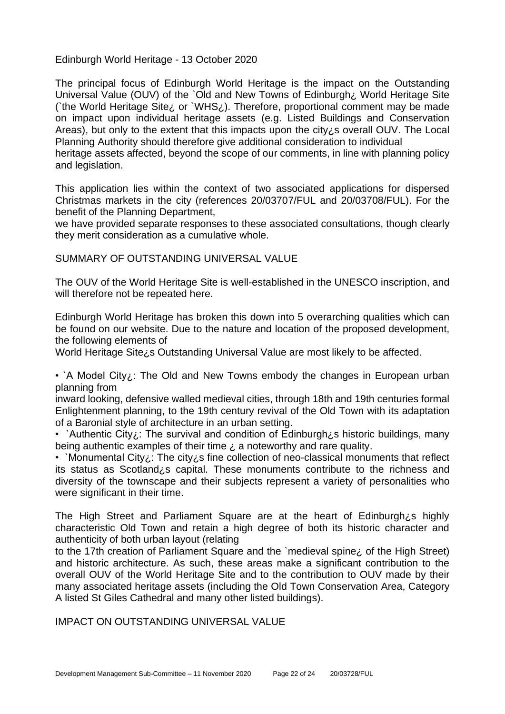Edinburgh World Heritage - 13 October 2020

The principal focus of Edinburgh World Heritage is the impact on the Outstanding Universal Value (OUV) of the `Old and New Towns of Edinburgh¿ World Heritage Site (`the World Heritage Site; or `WHS; itherefore, proportional comment may be made on impact upon individual heritage assets (e.g. Listed Buildings and Conservation Areas), but only to the extent that this impacts upon the city¿s overall OUV. The Local Planning Authority should therefore give additional consideration to individual

heritage assets affected, beyond the scope of our comments, in line with planning policy and legislation.

This application lies within the context of two associated applications for dispersed Christmas markets in the city (references 20/03707/FUL and 20/03708/FUL). For the benefit of the Planning Department,

we have provided separate responses to these associated consultations, though clearly they merit consideration as a cumulative whole.

SUMMARY OF OUTSTANDING UNIVERSAL VALUE

The OUV of the World Heritage Site is well-established in the UNESCO inscription, and will therefore not be repeated here.

Edinburgh World Heritage has broken this down into 5 overarching qualities which can be found on our website. Due to the nature and location of the proposed development, the following elements of

World Heritage Site¿s Outstanding Universal Value are most likely to be affected.

• `A Model City;: The Old and New Towns embody the changes in European urban planning from

inward looking, defensive walled medieval cities, through 18th and 19th centuries formal Enlightenment planning, to the 19th century revival of the Old Town with its adaptation of a Baronial style of architecture in an urban setting.

• `Authentic City;: The survival and condition of Edinburgh; s historic buildings, many being authentic examples of their time  $\lambda$  a noteworthy and rare quality.

• `Monumental City;: The city; s fine collection of neo-classical monuments that reflect its status as Scotland¿s capital. These monuments contribute to the richness and diversity of the townscape and their subjects represent a variety of personalities who were significant in their time.

The High Street and Parliament Square are at the heart of Edinburgh; s highly characteristic Old Town and retain a high degree of both its historic character and authenticity of both urban layout (relating

to the 17th creation of Parliament Square and the `medieval spine¿ of the High Street) and historic architecture. As such, these areas make a significant contribution to the overall OUV of the World Heritage Site and to the contribution to OUV made by their many associated heritage assets (including the Old Town Conservation Area, Category A listed St Giles Cathedral and many other listed buildings).

IMPACT ON OUTSTANDING UNIVERSAL VALUE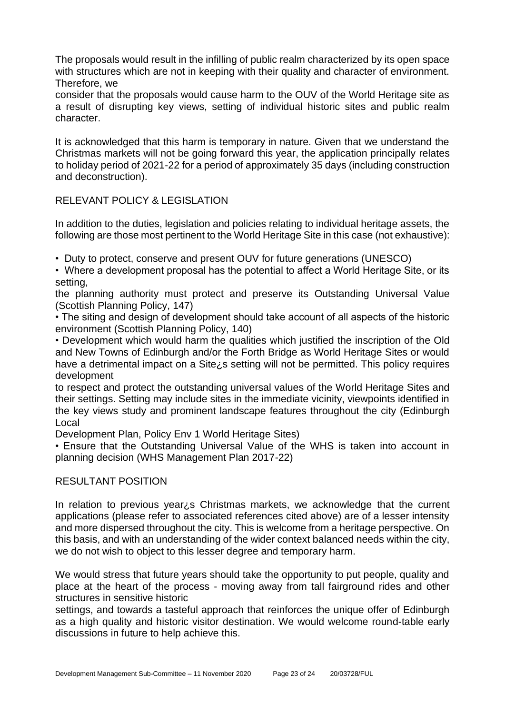The proposals would result in the infilling of public realm characterized by its open space with structures which are not in keeping with their quality and character of environment. Therefore, we

consider that the proposals would cause harm to the OUV of the World Heritage site as a result of disrupting key views, setting of individual historic sites and public realm character.

It is acknowledged that this harm is temporary in nature. Given that we understand the Christmas markets will not be going forward this year, the application principally relates to holiday period of 2021-22 for a period of approximately 35 days (including construction and deconstruction).

#### RELEVANT POLICY & LEGISLATION

In addition to the duties, legislation and policies relating to individual heritage assets, the following are those most pertinent to the World Heritage Site in this case (not exhaustive):

• Duty to protect, conserve and present OUV for future generations (UNESCO)

• Where a development proposal has the potential to affect a World Heritage Site, or its setting,

the planning authority must protect and preserve its Outstanding Universal Value (Scottish Planning Policy, 147)

• The siting and design of development should take account of all aspects of the historic environment (Scottish Planning Policy, 140)

• Development which would harm the qualities which justified the inscription of the Old and New Towns of Edinburgh and/or the Forth Bridge as World Heritage Sites or would have a detrimental impact on a Site¿s setting will not be permitted. This policy requires development

to respect and protect the outstanding universal values of the World Heritage Sites and their settings. Setting may include sites in the immediate vicinity, viewpoints identified in the key views study and prominent landscape features throughout the city (Edinburgh Local

Development Plan, Policy Env 1 World Heritage Sites)

• Ensure that the Outstanding Universal Value of the WHS is taken into account in planning decision (WHS Management Plan 2017-22)

#### RESULTANT POSITION

In relation to previous year¿s Christmas markets, we acknowledge that the current applications (please refer to associated references cited above) are of a lesser intensity and more dispersed throughout the city. This is welcome from a heritage perspective. On this basis, and with an understanding of the wider context balanced needs within the city, we do not wish to object to this lesser degree and temporary harm.

We would stress that future years should take the opportunity to put people, quality and place at the heart of the process - moving away from tall fairground rides and other structures in sensitive historic

settings, and towards a tasteful approach that reinforces the unique offer of Edinburgh as a high quality and historic visitor destination. We would welcome round-table early discussions in future to help achieve this.